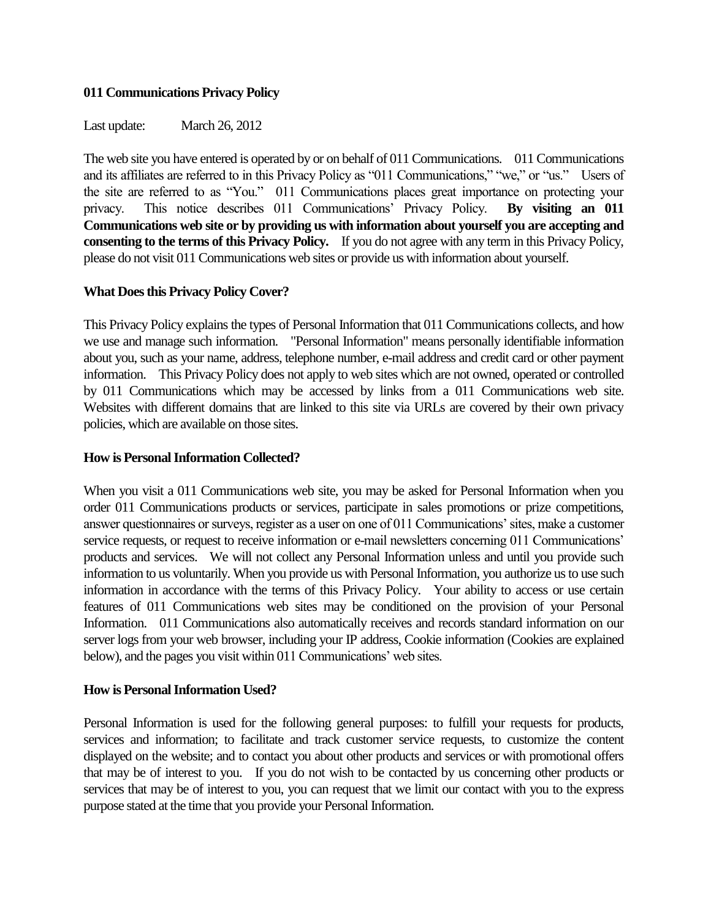## **011 Communications Privacy Policy**

Last update: March 26, 2012

The web site you have entered is operated by or on behalf of 011 Communications. 011 Communications and its affiliates are referred to in this Privacy Policy as "011 Communications," "we," or "us." Users of the site are referred to as "You." 011 Communications places great importance on protecting your privacy. This notice describes 011 Communications' Privacy Policy. **By visiting an 011 Communications web site or by providing us with information about yourself you are accepting and consenting to the terms of this Privacy Policy.** If you do not agree with any term in this Privacy Policy, please do not visit 011 Communications web sites or provide us with information about yourself.

## **What Does this Privacy Policy Cover?**

This Privacy Policy explains the types of Personal Information that 011 Communications collects, and how we use and manage such information. "Personal Information" means personally identifiable information about you, such as your name, address, telephone number, e-mail address and credit card or other payment information. This Privacy Policy does not apply to web sites which are not owned, operated or controlled by 011 Communications which may be accessed by links from a 011 Communications web site. Websites with different domains that are linked to this site via URLs are covered by their own privacy policies, which are available on those sites.

### **How is Personal Information Collected?**

When you visit a 011 Communications web site, you may be asked for Personal Information when you order 011 Communications products or services, participate in sales promotions or prize competitions, answer questionnaires or surveys, register as a user on one of 011 Communications' sites, make a customer service requests, or request to receive information or e-mail newsletters concerning 011 Communications' products and services. We will not collect any Personal Information unless and until you provide such information to us voluntarily. When you provide us with Personal Information, you authorize us to use such information in accordance with the terms of this Privacy Policy. Your ability to access or use certain features of 011 Communications web sites may be conditioned on the provision of your Personal Information. 011 Communications also automatically receives and records standard information on our server logs from your web browser, including your IP address, Cookie information (Cookies are explained below), and the pages you visit within 011 Communications' web sites.

### **How is Personal Information Used?**

Personal Information is used for the following general purposes: to fulfill your requests for products, services and information; to facilitate and track customer service requests, to customize the content displayed on the website; and to contact you about other products and services or with promotional offers that may be of interest to you. If you do not wish to be contacted by us concerning other products or services that may be of interest to you, you can request that we limit our contact with you to the express purpose stated at the time that you provide your Personal Information.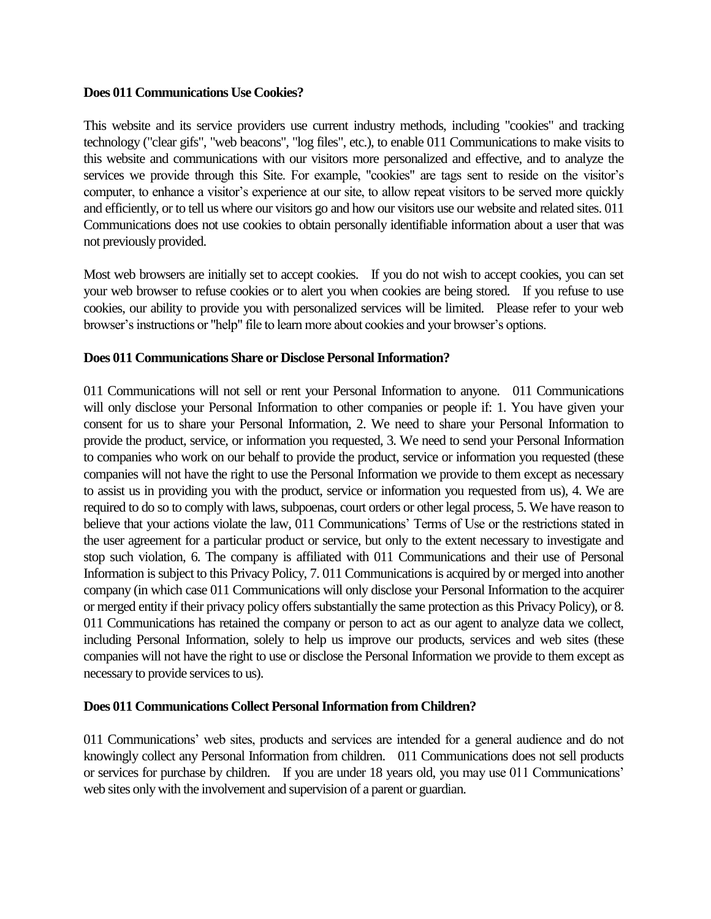### **Does 011 Communications Use Cookies?**

This website and its service providers use current industry methods, including "cookies" and tracking technology ("clear gifs", "web beacons", "log files", etc.), to enable 011 Communications to make visits to this website and communications with our visitors more personalized and effective, and to analyze the services we provide through this Site. For example, "cookies" are tags sent to reside on the visitor's computer, to enhance a visitor's experience at our site, to allow repeat visitors to be served more quickly and efficiently, or to tell us where our visitors go and how our visitors use our website and related sites. 011 Communications does not use cookies to obtain personally identifiable information about a user that was not previously provided.

Most web browsers are initially set to accept cookies. If you do not wish to accept cookies, you can set your web browser to refuse cookies or to alert you when cookies are being stored. If you refuse to use cookies, our ability to provide you with personalized services will be limited. Please refer to your web browser's instructions or "help" file to learn more about cookies and your browser's options.

## **Does 011 Communications Share or Disclose Personal Information?**

011 Communications will not sell or rent your Personal Information to anyone. 011 Communications will only disclose your Personal Information to other companies or people if: 1. You have given your consent for us to share your Personal Information, 2. We need to share your Personal Information to provide the product, service, or information you requested, 3. We need to send your Personal Information to companies who work on our behalf to provide the product, service or information you requested (these companies will not have the right to use the Personal Information we provide to them except as necessary to assist us in providing you with the product, service or information you requested from us), 4. We are required to do so to comply with laws, subpoenas, court orders or other legal process, 5. We have reason to believe that your actions violate the law, 011 Communications' Terms of Use or the restrictions stated in the user agreement for a particular product or service, but only to the extent necessary to investigate and stop such violation, 6. The company is affiliated with 011 Communications and their use of Personal Information is subject to this Privacy Policy, 7. 011 Communications is acquired by or merged into another company (in which case 011 Communications will only disclose your Personal Information to the acquirer or merged entity if their privacy policy offers substantially the same protection as this Privacy Policy), or 8. 011 Communications has retained the company or person to act as our agent to analyze data we collect, including Personal Information, solely to help us improve our products, services and web sites (these companies will not have the right to use or disclose the Personal Information we provide to them except as necessary to provide services to us).

### **Does 011 Communications Collect Personal Information from Children?**

011 Communications' web sites, products and services are intended for a general audience and do not knowingly collect any Personal Information from children. 011 Communications does not sell products or services for purchase by children. If you are under 18 years old, you may use 011 Communications' web sites only with the involvement and supervision of a parent or guardian.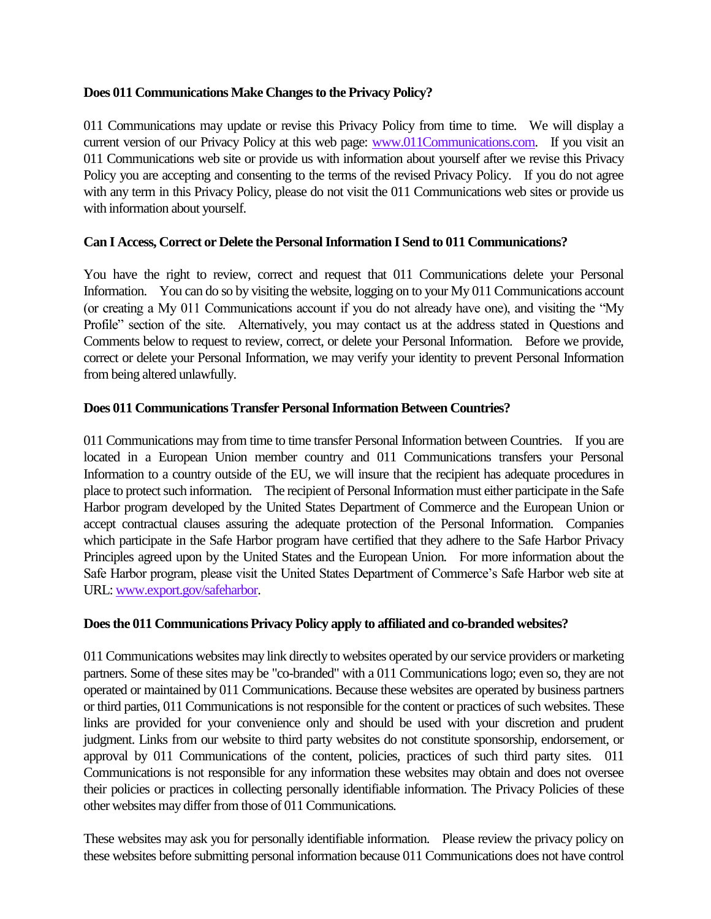# **Does 011 Communications Make Changes to the Privacy Policy?**

011 Communications may update or revise this Privacy Policy from time to time. We will display a current version of our Privacy Policy at this web page: www.011Communications.com. If you visit an 011 Communications web site or provide us with information about yourself after we revise this Privacy Policy you are accepting and consenting to the terms of the revised Privacy Policy. If you do not agree with any term in this Privacy Policy, please do not visit the 011 Communications web sites or provide us with information about yourself.

## **Can I Access, Correct or Delete the Personal Information I Send to 011 Communications?**

You have the right to review, correct and request that 011 Communications delete your Personal Information. You can do so by visiting the website, logging on to your My 011 Communications account (or creating a My 011 Communications account if you do not already have one), and visiting the "My Profile" section of the site. Alternatively, you may contact us at the address stated in Questions and Comments below to request to review, correct, or delete your Personal Information. Before we provide, correct or delete your Personal Information, we may verify your identity to prevent Personal Information from being altered unlawfully.

## **Does 011 Communications Transfer Personal Information Between Countries?**

011 Communications may from time to time transfer Personal Information between Countries. If you are located in a European Union member country and 011 Communications transfers your Personal Information to a country outside of the EU, we will insure that the recipient has adequate procedures in place to protect such information. The recipient of Personal Information must either participate in the Safe Harbor program developed by the United States Department of Commerce and the European Union or accept contractual clauses assuring the adequate protection of the Personal Information. Companies which participate in the Safe Harbor program have certified that they adhere to the Safe Harbor Privacy Principles agreed upon by the United States and the European Union. For more information about the Safe Harbor program, please visit the United States Department of Commerce's Safe Harbor web site at URL: [www.export.gov/safeharbor.](http://www.export.gov/safeharbor)

### **Does the 011 Communications Privacy Policy apply to affiliated and co-branded websites?**

011 Communications websites may link directly to websites operated by our service providers or marketing partners. Some of these sites may be "co-branded" with a 011 Communications logo; even so, they are not operated or maintained by 011 Communications. Because these websites are operated by business partners or third parties, 011 Communications is not responsible for the content or practices of such websites. These links are provided for your convenience only and should be used with your discretion and prudent judgment. Links from our website to third party websites do not constitute sponsorship, endorsement, or approval by 011 Communications of the content, policies, practices of such third party sites. 011 Communications is not responsible for any information these websites may obtain and does not oversee their policies or practices in collecting personally identifiable information. The Privacy Policies of these other websites may differ from those of 011 Communications.

These websites may ask you for personally identifiable information. Please review the privacy policy on these websites before submitting personal information because 011 Communications does not have control